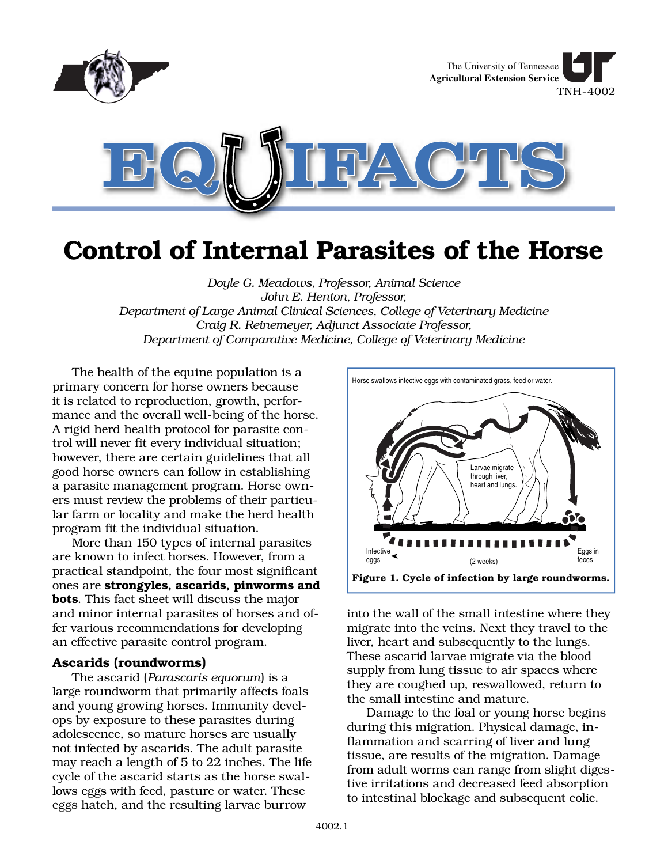

# **Control of Internal Parasites of the Horse**

*Doyle G. Meadows, Professor, Animal Science John E. Henton, Professor, Department of Large Animal Clinical Sciences, College of Veterinary Medicine Craig R. Reinemeyer, Adjunct Associate Professor, Department of Comparative Medicine, College of Veterinary Medicine*

The health of the equine population is a primary concern for horse owners because it is related to reproduction, growth, performance and the overall well-being of the horse. A rigid herd health protocol for parasite control will never fit every individual situation; however, there are certain guidelines that all good horse owners can follow in establishing a parasite management program. Horse owners must review the problems of their particular farm or locality and make the herd health program fit the individual situation.

More than 150 types of internal parasites are known to infect horses. However, from a practical standpoint, the four most significant ones are **strongyles, ascarids, pinworms and bots**. This fact sheet will discuss the major and minor internal parasites of horses and offer various recommendations for developing an effective parasite control program.

#### **Ascarids (roundworms)**

The ascarid (*Parascaris equorum*) is a large roundworm that primarily affects foals and young growing horses. Immunity develops by exposure to these parasites during adolescence, so mature horses are usually not infected by ascarids. The adult parasite may reach a length of 5 to 22 inches. The life cycle of the ascarid starts as the horse swallows eggs with feed, pasture or water. These eggs hatch, and the resulting larvae burrow



into the wall of the small intestine where they migrate into the veins. Next they travel to the liver, heart and subsequently to the lungs. These ascarid larvae migrate via the blood supply from lung tissue to air spaces where they are coughed up, reswallowed, return to the small intestine and mature.

Damage to the foal or young horse begins during this migration. Physical damage, inflammation and scarring of liver and lung tissue, are results of the migration. Damage from adult worms can range from slight digestive irritations and decreased feed absorption to intestinal blockage and subsequent colic.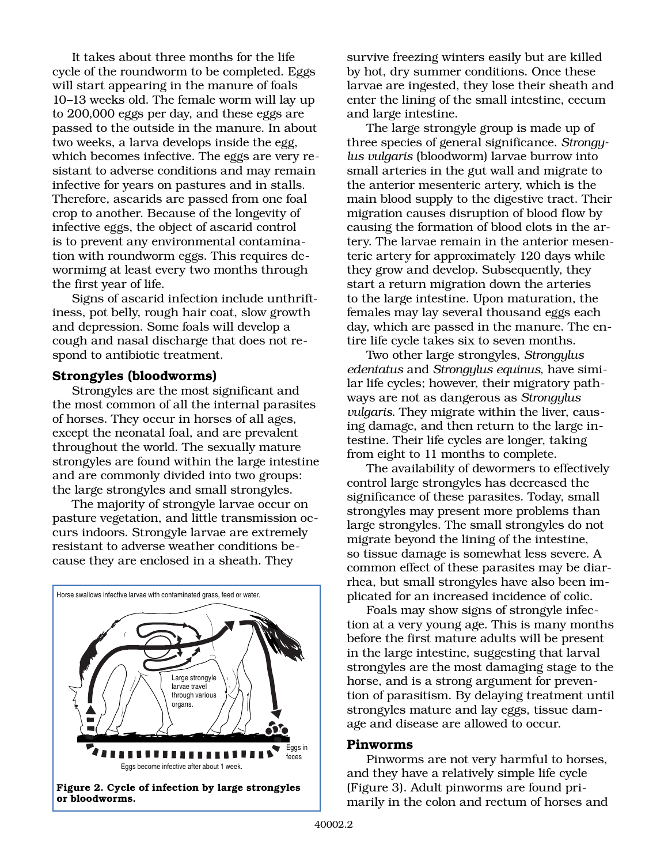It takes about three months for the life cycle of the roundworm to be completed. Eggs will start appearing in the manure of foals 10–13 weeks old. The female worm will lay up to 200,000 eggs per day, and these eggs are passed to the outside in the manure. In about two weeks, a larva develops inside the egg, which becomes infective. The eggs are very resistant to adverse conditions and may remain infective for years on pastures and in stalls. Therefore, ascarids are passed from one foal crop to another. Because of the longevity of infective eggs, the object of ascarid control is to prevent any environmental contamination with roundworm eggs. This requires dewormimg at least every two months through the first year of life.

Signs of ascarid infection include unthriftiness, pot belly, rough hair coat, slow growth and depression. Some foals will develop a cough and nasal discharge that does not respond to antibiotic treatment.

#### **Strongyles (bloodworms)**

Strongyles are the most significant and the most common of all the internal parasites of horses. They occur in horses of all ages, except the neonatal foal, and are prevalent throughout the world. The sexually mature strongyles are found within the large intestine and are commonly divided into two groups: the large strongyles and small strongyles.

The majority of strongyle larvae occur on pasture vegetation, and little transmission occurs indoors. Strongyle larvae are extremely resistant to adverse weather conditions because they are enclosed in a sheath. They



**Figure 2. Cycle of infection by large strongyles or bloodworms.**

survive freezing winters easily but are killed by hot, dry summer conditions. Once these larvae are ingested, they lose their sheath and enter the lining of the small intestine, cecum and large intestine.

The large strongyle group is made up of three species of general significance. *Strongylus vulgaris* (bloodworm) larvae burrow into small arteries in the gut wall and migrate to the anterior mesenteric artery, which is the main blood supply to the digestive tract. Their migration causes disruption of blood flow by causing the formation of blood clots in the artery. The larvae remain in the anterior mesenteric artery for approximately 120 days while they grow and develop. Subsequently, they start a return migration down the arteries to the large intestine. Upon maturation, the females may lay several thousand eggs each day, which are passed in the manure. The entire life cycle takes six to seven months.

Two other large strongyles, *Strongylus edentatus* and *Strongylus equinus*, have similar life cycles; however, their migratory pathways are not as dangerous as *Strongylus vulgaris*. They migrate within the liver, causing damage, and then return to the large intestine. Their life cycles are longer, taking from eight to 11 months to complete.

The availability of dewormers to effectively control large strongyles has decreased the significance of these parasites. Today, small strongyles may present more problems than large strongyles. The small strongyles do not migrate beyond the lining of the intestine, so tissue damage is somewhat less severe. A common effect of these parasites may be diarrhea, but small strongyles have also been implicated for an increased incidence of colic.

Foals may show signs of strongyle infection at a very young age. This is many months before the first mature adults will be present in the large intestine, suggesting that larval strongyles are the most damaging stage to the horse, and is a strong argument for prevention of parasitism. By delaying treatment until strongyles mature and lay eggs, tissue damage and disease are allowed to occur.

#### **Pinworms**

Pinworms are not very harmful to horses, and they have a relatively simple life cycle (Figure 3). Adult pinworms are found primarily in the colon and rectum of horses and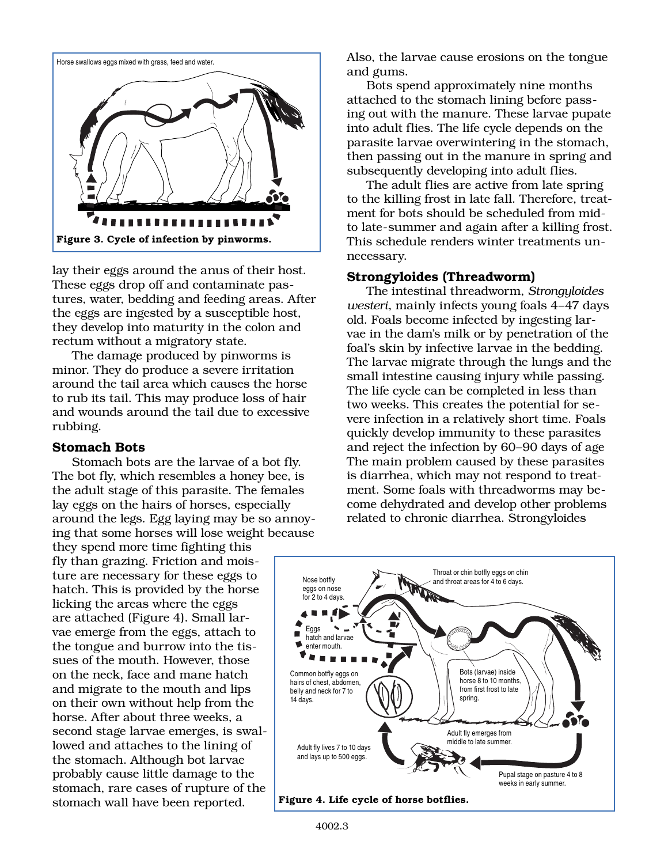

lay their eggs around the anus of their host. These eggs drop off and contaminate pastures, water, bedding and feeding areas. After the eggs are ingested by a susceptible host, they develop into maturity in the colon and rectum without a migratory state.

The damage produced by pinworms is minor. They do produce a severe irritation around the tail area which causes the horse to rub its tail. This may produce loss of hair and wounds around the tail due to excessive rubbing.

# **Stomach Bots**

Stomach bots are the larvae of a bot fly. The bot fly, which resembles a honey bee, is the adult stage of this parasite. The females lay eggs on the hairs of horses, especially around the legs. Egg laying may be so annoying that some horses will lose weight because

they spend more time fighting this fly than grazing. Friction and moisture are necessary for these eggs to hatch. This is provided by the horse licking the areas where the eggs are attached (Figure 4). Small larvae emerge from the eggs, attach to the tongue and burrow into the tissues of the mouth. However, those on the neck, face and mane hatch and migrate to the mouth and lips on their own without help from the horse. After about three weeks, a second stage larvae emerges, is swallowed and attaches to the lining of the stomach. Although bot larvae probably cause little damage to the stomach, rare cases of rupture of the stomach wall have been reported.

Also, the larvae cause erosions on the tongue and gums.

Bots spend approximately nine months attached to the stomach lining before passing out with the manure. These larvae pupate into adult flies. The life cycle depends on the parasite larvae overwintering in the stomach, then passing out in the manure in spring and subsequently developing into adult flies.

The adult flies are active from late spring to the killing frost in late fall. Therefore, treatment for bots should be scheduled from midto late-summer and again after a killing frost. This schedule renders winter treatments unnecessary.

# **Strongyloides (Threadworm)**

The intestinal threadworm, *Strongyloides westeri*, mainly infects young foals 4–47 days old. Foals become infected by ingesting larvae in the dam's milk or by penetration of the foal's skin by infective larvae in the bedding. The larvae migrate through the lungs and the small intestine causing injury while passing. The life cycle can be completed in less than two weeks. This creates the potential for severe infection in a relatively short time. Foals quickly develop immunity to these parasites and reject the infection by 60–90 days of age The main problem caused by these parasites is diarrhea, which may not respond to treatment. Some foals with threadworms may become dehydrated and develop other problems related to chronic diarrhea. Strongyloides

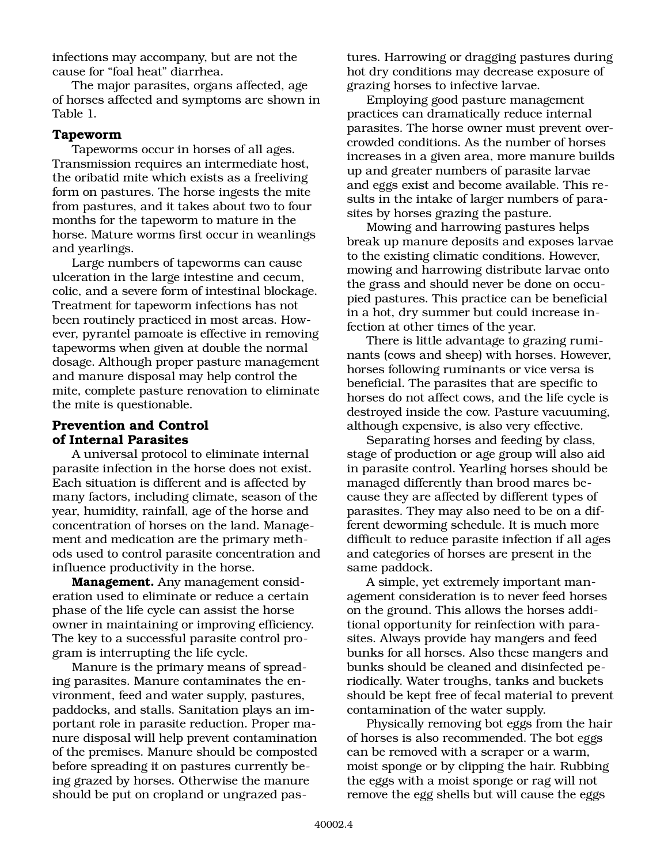infections may accompany, but are not the cause for "foal heat" diarrhea.

The major parasites, organs affected, age of horses affected and symptoms are shown in Table 1.

#### **Tapeworm**

Tapeworms occur in horses of all ages. Transmission requires an intermediate host, the oribatid mite which exists as a freeliving form on pastures. The horse ingests the mite from pastures, and it takes about two to four months for the tapeworm to mature in the horse. Mature worms first occur in weanlings and yearlings.

Large numbers of tapeworms can cause ulceration in the large intestine and cecum, colic, and a severe form of intestinal blockage. Treatment for tapeworm infections has not been routinely practiced in most areas. However, pyrantel pamoate is effective in removing tapeworms when given at double the normal dosage. Although proper pasture management and manure disposal may help control the mite, complete pasture renovation to eliminate the mite is questionable.

# **Prevention and Control of Internal Parasites**

A universal protocol to eliminate internal parasite infection in the horse does not exist. Each situation is different and is affected by many factors, including climate, season of the year, humidity, rainfall, age of the horse and concentration of horses on the land. Management and medication are the primary methods used to control parasite concentration and influence productivity in the horse.

**Management.** Any management consideration used to eliminate or reduce a certain phase of the life cycle can assist the horse owner in maintaining or improving efficiency. The key to a successful parasite control program is interrupting the life cycle.

Manure is the primary means of spreading parasites. Manure contaminates the environment, feed and water supply, pastures, paddocks, and stalls. Sanitation plays an important role in parasite reduction. Proper manure disposal will help prevent contamination of the premises. Manure should be composted before spreading it on pastures currently being grazed by horses. Otherwise the manure should be put on cropland or ungrazed pastures. Harrowing or dragging pastures during hot dry conditions may decrease exposure of grazing horses to infective larvae.

Employing good pasture management practices can dramatically reduce internal parasites. The horse owner must prevent overcrowded conditions. As the number of horses increases in a given area, more manure builds up and greater numbers of parasite larvae and eggs exist and become available. This results in the intake of larger numbers of parasites by horses grazing the pasture.

Mowing and harrowing pastures helps break up manure deposits and exposes larvae to the existing climatic conditions. However, mowing and harrowing distribute larvae onto the grass and should never be done on occupied pastures. This practice can be beneficial in a hot, dry summer but could increase infection at other times of the year.

There is little advantage to grazing ruminants (cows and sheep) with horses. However, horses following ruminants or vice versa is beneficial. The parasites that are specific to horses do not affect cows, and the life cycle is destroyed inside the cow. Pasture vacuuming, although expensive, is also very effective.

Separating horses and feeding by class, stage of production or age group will also aid in parasite control. Yearling horses should be managed differently than brood mares because they are affected by different types of parasites. They may also need to be on a different deworming schedule. It is much more difficult to reduce parasite infection if all ages and categories of horses are present in the same paddock.

A simple, yet extremely important management consideration is to never feed horses on the ground. This allows the horses additional opportunity for reinfection with parasites. Always provide hay mangers and feed bunks for all horses. Also these mangers and bunks should be cleaned and disinfected periodically. Water troughs, tanks and buckets should be kept free of fecal material to prevent contamination of the water supply.

Physically removing bot eggs from the hair of horses is also recommended. The bot eggs can be removed with a scraper or a warm, moist sponge or by clipping the hair. Rubbing the eggs with a moist sponge or rag will not remove the egg shells but will cause the eggs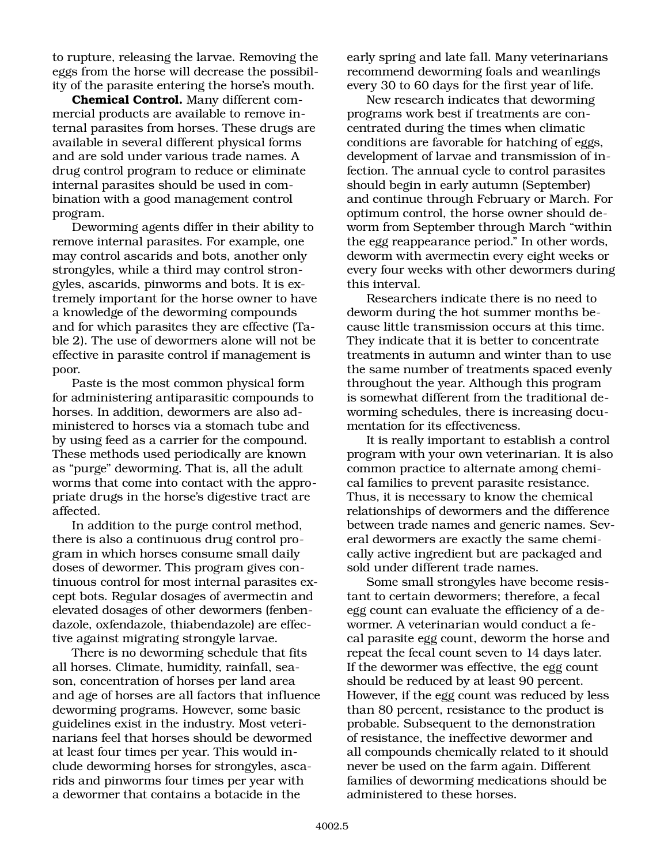to rupture, releasing the larvae. Removing the eggs from the horse will decrease the possibility of the parasite entering the horse's mouth.

**Chemical Control.** Many different commercial products are available to remove internal parasites from horses. These drugs are available in several different physical forms and are sold under various trade names. A drug control program to reduce or eliminate internal parasites should be used in combination with a good management control program.

Deworming agents differ in their ability to remove internal parasites. For example, one may control ascarids and bots, another only strongyles, while a third may control strongyles, ascarids, pinworms and bots. It is extremely important for the horse owner to have a knowledge of the deworming compounds and for which parasites they are effective (Table 2). The use of dewormers alone will not be effective in parasite control if management is poor.

Paste is the most common physical form for administering antiparasitic compounds to horses. In addition, dewormers are also administered to horses via a stomach tube and by using feed as a carrier for the compound. These methods used periodically are known as "purge" deworming. That is, all the adult worms that come into contact with the appropriate drugs in the horse's digestive tract are affected.

In addition to the purge control method, there is also a continuous drug control program in which horses consume small daily doses of dewormer. This program gives continuous control for most internal parasites except bots. Regular dosages of avermectin and elevated dosages of other dewormers (fenbendazole, oxfendazole, thiabendazole) are effective against migrating strongyle larvae.

There is no deworming schedule that fits all horses. Climate, humidity, rainfall, season, concentration of horses per land area and age of horses are all factors that influence deworming programs. However, some basic guidelines exist in the industry. Most veterinarians feel that horses should be dewormed at least four times per year. This would include deworming horses for strongyles, ascarids and pinworms four times per year with a dewormer that contains a botacide in the

early spring and late fall. Many veterinarians recommend deworming foals and weanlings every 30 to 60 days for the first year of life.

New research indicates that deworming programs work best if treatments are concentrated during the times when climatic conditions are favorable for hatching of eggs, development of larvae and transmission of infection. The annual cycle to control parasites should begin in early autumn (September) and continue through February or March. For optimum control, the horse owner should deworm from September through March "within the egg reappearance period." In other words, deworm with avermectin every eight weeks or every four weeks with other dewormers during this interval.

Researchers indicate there is no need to deworm during the hot summer months because little transmission occurs at this time. They indicate that it is better to concentrate treatments in autumn and winter than to use the same number of treatments spaced evenly throughout the year. Although this program is somewhat different from the traditional deworming schedules, there is increasing documentation for its effectiveness.

It is really important to establish a control program with your own veterinarian. It is also common practice to alternate among chemical families to prevent parasite resistance. Thus, it is necessary to know the chemical relationships of dewormers and the difference between trade names and generic names. Several dewormers are exactly the same chemically active ingredient but are packaged and sold under different trade names.

Some small strongyles have become resistant to certain dewormers; therefore, a fecal egg count can evaluate the efficiency of a dewormer. A veterinarian would conduct a fecal parasite egg count, deworm the horse and repeat the fecal count seven to 14 days later. If the dewormer was effective, the egg count should be reduced by at least 90 percent. However, if the egg count was reduced by less than 80 percent, resistance to the product is probable. Subsequent to the demonstration of resistance, the ineffective dewormer and all compounds chemically related to it should never be used on the farm again. Different families of deworming medications should be administered to these horses.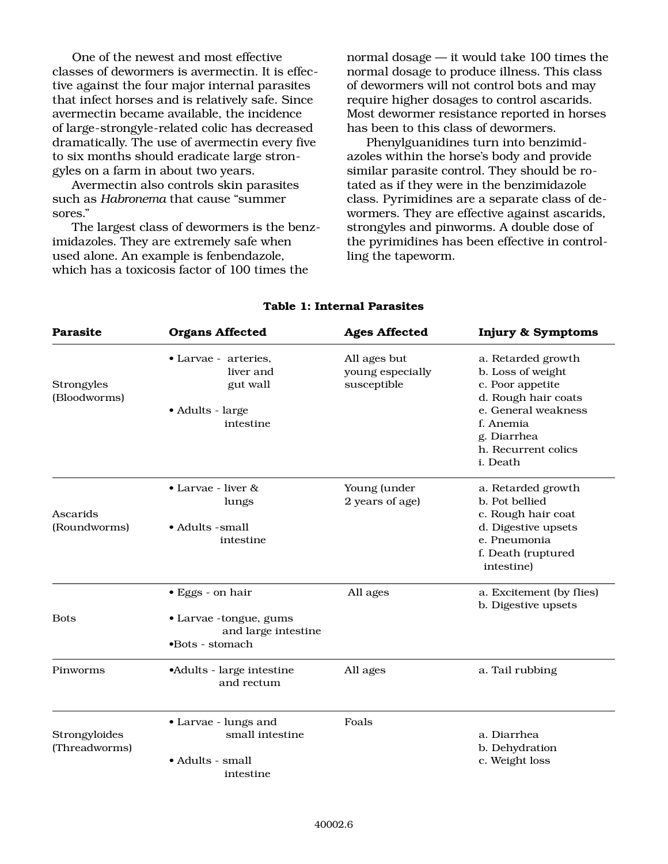One of the newest and most effective classes of dewormers is avermectin. It is effective against the four major internal parasites that infect horses and is relatively safe. Since avermectin became available, the incidence of large-strongyle-related colic has decreased dramatically. The use of avermectin every five to six months should eradicate large strongyles on a farm in about two years.

Avermectin also controls skin parasites such as *Habronema* that cause "summer sores."

The largest class of dewormers is the benzimidazoles. They are extremely safe when used alone. An example is fenbendazole, which has a toxicosis factor of 100 times the

normal dosage — it would take 100 times the normal dosage to produce illness. This class of dewormers will not control bots and may require higher dosages to control ascarids. Most dewormer resistance reported in horses has been to this class of dewormers.

Phenylguanidines turn into benzimidazoles within the horse's body and provide similar parasite control. They should be rotated as if they were in the benzimidazole class. Pyrimidines are a separate class of dewormers. They are effective against ascarids, strongyles and pinworms. A double dose of the pyrimidines has been effective in controlling the tapeworm.

| <b>Parasite</b>                | <b>Organs Affected</b>                                                                       | <b>Ages Affected</b>                            | <b>Injury &amp; Symptoms</b>                                                                                                                                             |
|--------------------------------|----------------------------------------------------------------------------------------------|-------------------------------------------------|--------------------------------------------------------------------------------------------------------------------------------------------------------------------------|
| Strongyles<br>(Bloodworms)     | • Larvae - arteries,<br>liver and<br>gut wall<br>• Adults - large<br>intestine               | All ages but<br>young especially<br>susceptible | a. Retarded growth<br>b. Loss of weight<br>c. Poor appetite<br>d. Rough hair coats<br>e. General weakness<br>f. Anemia<br>g. Diarrhea<br>h. Recurrent colics<br>i. Death |
| Ascarids<br>(Roundworms)       | • Larvae - liver &<br>lungs<br>• Adults - small<br>intestine                                 | Young (under<br>2 years of age)                 | a. Retarded growth<br>b. Pot bellied<br>c. Rough hair coat<br>d. Digestive upsets<br>e. Pneumonia<br>f. Death (ruptured<br>intestine)                                    |
| <b>Bots</b>                    | $\bullet$ Eggs - on hair<br>• Larvae -tongue, gums<br>and large intestine<br>•Bots - stomach | All ages                                        | a. Excitement (by flies)<br>b. Digestive upsets                                                                                                                          |
| Pinworms                       | •Adults - large intestine<br>and rectum                                                      | All ages                                        | a. Tail rubbing                                                                                                                                                          |
| Strongyloides<br>(Threadworms) | • Larvae - lungs and<br>small intestine<br>• Adults - small<br>intestine                     | Foals                                           | a. Diarrhea<br>b. Dehydration<br>c. Weight loss                                                                                                                          |

### **Table 1: Internal Parasites**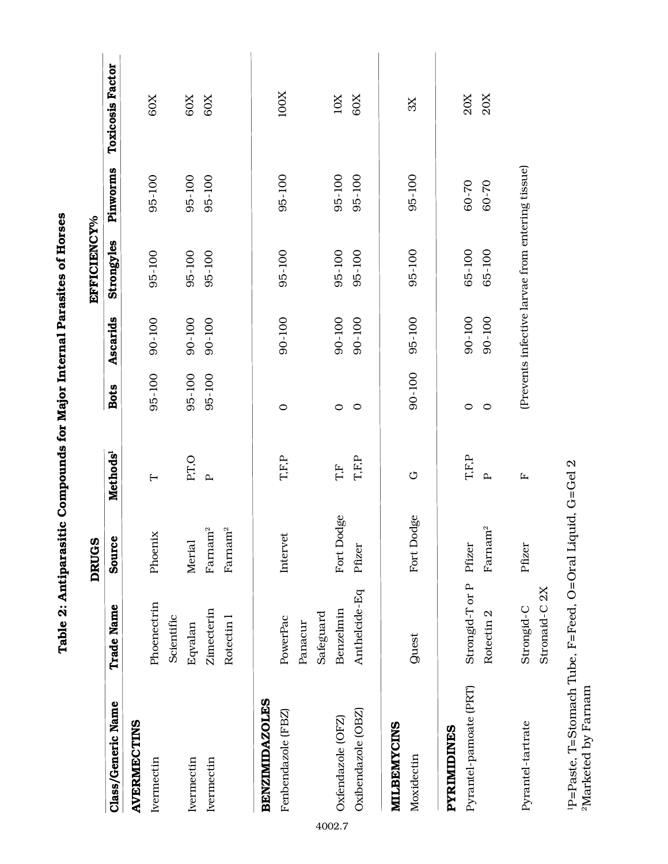|                        |                           | <b>DRUGS</b>        |                          |             |          | EFFICIENCY%                                      |           |                         |
|------------------------|---------------------------|---------------------|--------------------------|-------------|----------|--------------------------------------------------|-----------|-------------------------|
| Class/Generic Name     | <b>Trade Name</b>         | Source              | Methods <sup>1</sup>     | <b>Bots</b> | Ascarids | Strongyles                                       | Pinworms  | <b>Toxicosis Factor</b> |
| <b>AVERMECTINS</b>     |                           |                     |                          |             |          |                                                  |           |                         |
| Ivermectin             | Phoenectrin               | Phoenix             | $\overline{\phantom{0}}$ | 95-100      | 90-100   | 95-100                                           | 95-100    | 60X                     |
|                        | Scientific                |                     |                          |             |          |                                                  |           |                         |
| Ivermectin             | Eqvalan                   | Merial              | P.T.O                    | 95-100      | 90-100   | 95-100                                           | 95-100    | 60X                     |
| Ivermectin             | Zimecterin                | $\rm{Farmam^2}$     | $\mathbf{p}$             | 95-100      | 90-100   | 95-100                                           | 95-100    | 60X                     |
|                        | Rotectin 1                | Farnam <sup>2</sup> |                          |             |          |                                                  |           |                         |
| <b>BENZIMIDAZOLES</b>  |                           |                     |                          |             |          |                                                  |           |                         |
| Fenbendazole (FBZ)     | PowerPac                  | Intervet            | <b>T.F.P</b>             | $\circ$     | 90-100   | 95-100                                           | 95-100    | 100X                    |
|                        | Panacur                   |                     |                          |             |          |                                                  |           |                         |
|                        | Safeguard                 |                     |                          |             |          |                                                  |           |                         |
| Oxfendazole (OFZ)      | Benzelmin                 | Fort Dodge          | T.F                      | $\circ$     | 90-100   | 95-100                                           | 95-100    | $10X$                   |
| Oxibendazole (OBZ)     | Anthelcide-Eq             | Pfizer              | <b>T.F.P</b>             | $\circ$     | 90-100   | 95-100                                           | 95-100    | 60X                     |
| MILBEMYCINS            |                           |                     |                          |             |          |                                                  |           |                         |
| Moxidectin             | <b>guest</b>              | Fort Dodge          | U                        | 90-100      | 95-100   | 95-100                                           | 95-100    | 3X                      |
| PYRIMIDINES            |                           |                     |                          |             |          |                                                  |           |                         |
| Pyrantel-pamoate (PRT) | Strongid-T or P           | Pfizer              | <b>T.F.P</b>             | $\circ$     | 90-100   | 65-100                                           | $60 - 70$ | 20X                     |
|                        | Rotectin <sub>2</sub>     | Farnam <sup>2</sup> | $\mathbf{p}$             | $\circ$     | 90-100   | 65-100                                           | 60-70     | 20X                     |
| Pyrantel-tartrate      | Strongid-C                | Pfizer              | $\mathbf{r}$             |             |          | (Prevents infective larvae from entering tissue) |           |                         |
|                        | Stronaid-C <sub>2</sub> X |                     |                          |             |          |                                                  |           |                         |
|                        |                           |                     |                          |             |          |                                                  |           |                         |

of Horses **Table 2: Antiparasitic Compounds for Major Internal Parasites of Horses**  $\ddot{\phantom{0}}$  $\ddot{\ddot{\cdot}}$  $\overline{1}$ י<br>ק  $C_0$  $\ddot{z}$ J  $\dot{\sigma}$ Table

 $^1\!P\!\!=\!\!{\rm Paste},$  T=Stomach Tube, F=Feed, O=Oral Liquid, G=Gel 2  $^2\!{\rm Market}$  by Farnam 1P=Paste, T=Stomach Tube, F=Feed, O=Oral Liquid, G=Gel 2 2Marketed by Farnam